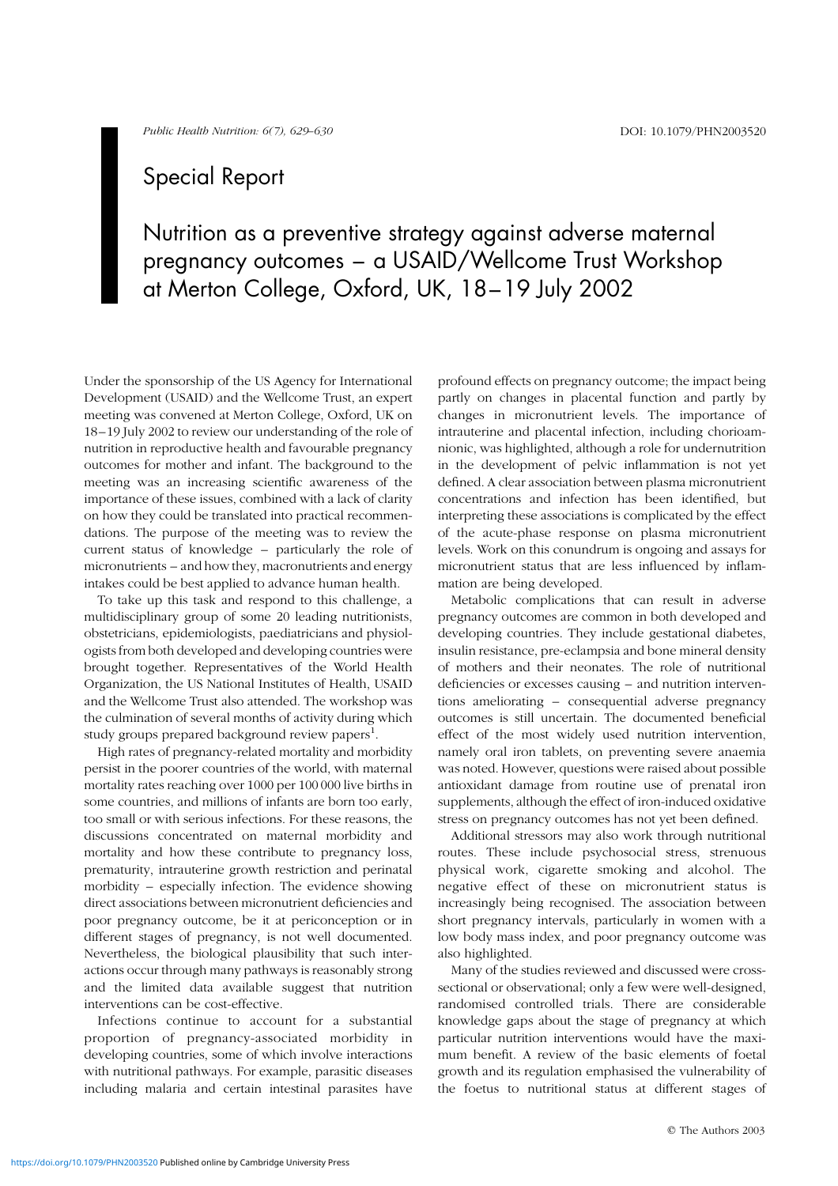## Special Report

Nutrition as a preventive strategy against adverse maternal pregnancy outcomes – a USAID/Wellcome Trust Workshop at Merton College, Oxford, UK, 18–19 July 2002

Under the sponsorship of the US Agency for International Development (USAID) and the Wellcome Trust, an expert meeting was convened at Merton College, Oxford, UK on 18–19 July 2002 to review our understanding of the role of nutrition in reproductive health and favourable pregnancy outcomes for mother and infant. The background to the meeting was an increasing scientific awareness of the importance of these issues, combined with a lack of clarity on how they could be translated into practical recommendations. The purpose of the meeting was to review the current status of knowledge – particularly the role of micronutrients – and how they, macronutrients and energy intakes could be best applied to advance human health.

To take up this task and respond to this challenge, a multidisciplinary group of some 20 leading nutritionists, obstetricians, epidemiologists, paediatricians and physiologists from both developed and developing countries were brought together. Representatives of the World Health Organization, the US National Institutes of Health, USAID and the Wellcome Trust also attended. The workshop was the culmination of several months of activity during which study groups prepared background review papers $^{\rm 1}.$ 

High rates of pregnancy-related mortality and morbidity persist in the poorer countries of the world, with maternal mortality rates reaching over 1000 per 100 000 live births in some countries, and millions of infants are born too early, too small or with serious infections. For these reasons, the discussions concentrated on maternal morbidity and mortality and how these contribute to pregnancy loss, prematurity, intrauterine growth restriction and perinatal morbidity – especially infection. The evidence showing direct associations between micronutrient deficiencies and poor pregnancy outcome, be it at periconception or in different stages of pregnancy, is not well documented. Nevertheless, the biological plausibility that such interactions occur through many pathways is reasonably strong and the limited data available suggest that nutrition interventions can be cost-effective.

Infections continue to account for a substantial proportion of pregnancy-associated morbidity in developing countries, some of which involve interactions with nutritional pathways. For example, parasitic diseases including malaria and certain intestinal parasites have

profound effects on pregnancy outcome; the impact being partly on changes in placental function and partly by changes in micronutrient levels. The importance of intrauterine and placental infection, including chorioamnionic, was highlighted, although a role for undernutrition in the development of pelvic inflammation is not yet defined. A clear association between plasma micronutrient concentrations and infection has been identified, but interpreting these associations is complicated by the effect of the acute-phase response on plasma micronutrient levels. Work on this conundrum is ongoing and assays for micronutrient status that are less influenced by inflammation are being developed.

Metabolic complications that can result in adverse pregnancy outcomes are common in both developed and developing countries. They include gestational diabetes, insulin resistance, pre-eclampsia and bone mineral density of mothers and their neonates. The role of nutritional deficiencies or excesses causing – and nutrition interventions ameliorating – consequential adverse pregnancy outcomes is still uncertain. The documented beneficial effect of the most widely used nutrition intervention, namely oral iron tablets, on preventing severe anaemia was noted. However, questions were raised about possible antioxidant damage from routine use of prenatal iron supplements, although the effect of iron-induced oxidative stress on pregnancy outcomes has not yet been defined.

Additional stressors may also work through nutritional routes. These include psychosocial stress, strenuous physical work, cigarette smoking and alcohol. The negative effect of these on micronutrient status is increasingly being recognised. The association between short pregnancy intervals, particularly in women with a low body mass index, and poor pregnancy outcome was also highlighted.

Many of the studies reviewed and discussed were crosssectional or observational; only a few were well-designed, randomised controlled trials. There are considerable knowledge gaps about the stage of pregnancy at which particular nutrition interventions would have the maximum benefit. A review of the basic elements of foetal growth and its regulation emphasised the vulnerability of the foetus to nutritional status at different stages of